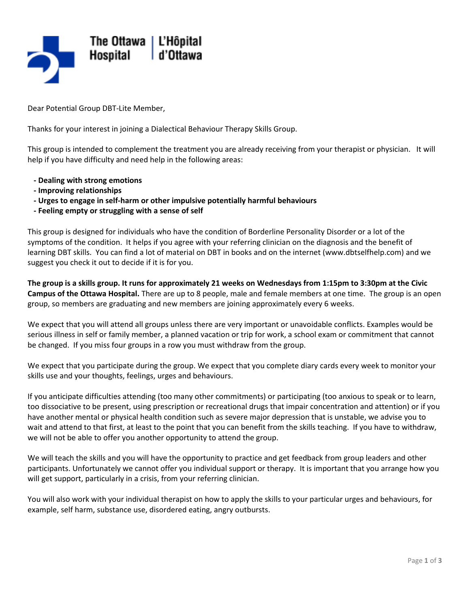

Dear Potential Group DBT-Lite Member,

Thanks for your interest in joining a Dialectical Behaviour Therapy Skills Group.

This group is intended to complement the treatment you are already receiving from your therapist or physician. It will help if you have difficulty and need help in the following areas:

- **Dealing with strong emotions**
- **- Improving relationships**
- **Urges to engage in self-harm or other impulsive potentially harmful behaviours**
- **- Feeling empty or struggling with a sense of self**

This group is designed for individuals who have the condition of Borderline Personality Disorder or a lot of the symptoms of the condition. It helps if you agree with your referring clinician on the diagnosis and the benefit of learning DBT skills. You can find a lot of material on DBT in books and on the internet (www.dbtselfhelp.com) and we suggest you check it out to decide if it is for you.

**The group is a skills group. It runs for approximately 21 weeks on Wednesdays from 1:15pm to 3:30pm at the Civic Campus of the Ottawa Hospital.** There are up to 8 people, male and female members at one time. The group is an open group, so members are graduating and new members are joining approximately every 6 weeks.

We expect that you will attend all groups unless there are very important or unavoidable conflicts. Examples would be serious illness in self or family member, a planned vacation or trip for work, a school exam or commitment that cannot be changed. If you miss four groups in a row you must withdraw from the group.

We expect that you participate during the group. We expect that you complete diary cards every week to monitor your skills use and your thoughts, feelings, urges and behaviours.

If you anticipate difficulties attending (too many other commitments) or participating (too anxious to speak or to learn, too dissociative to be present, using prescription or recreational drugs that impair concentration and attention) or if you have another mental or physical health condition such as severe major depression that is unstable, we advise you to wait and attend to that first, at least to the point that you can benefit from the skills teaching. If you have to withdraw, we will not be able to offer you another opportunity to attend the group.

We will teach the skills and you will have the opportunity to practice and get feedback from group leaders and other participants. Unfortunately we cannot offer you individual support or therapy. It is important that you arrange how you will get support, particularly in a crisis, from your referring clinician.

You will also work with your individual therapist on how to apply the skills to your particular urges and behaviours, for example, self harm, substance use, disordered eating, angry outbursts.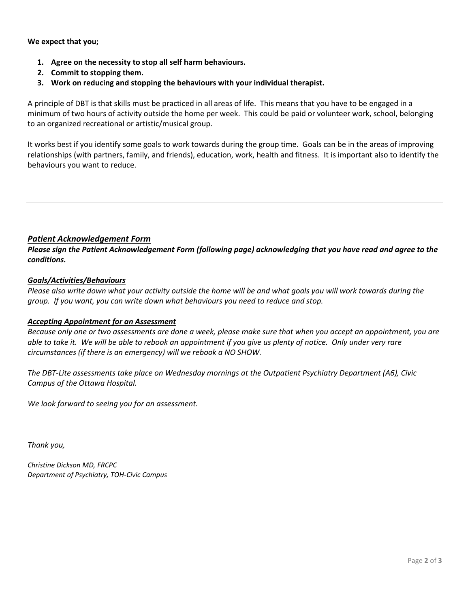**We expect that you;** 

- **1. Agree on the necessity to stop all self harm behaviours.**
- **2. Commit to stopping them.**
- **3. Work on reducing and stopping the behaviours with your individual therapist.**

A principle of DBT is that skills must be practiced in all areas of life. This means that you have to be engaged in a minimum of two hours of activity outside the home per week. This could be paid or volunteer work, school, belonging to an organized recreational or artistic/musical group.

It works best if you identify some goals to work towards during the group time. Goals can be in the areas of improving relationships (with partners, family, and friends), education, work, health and fitness. It is important also to identify the behaviours you want to reduce.

## *Patient Acknowledgement Form*

*Please sign the Patient Acknowledgement Form (following page) acknowledging that you have read and agree to the conditions.* 

## *Goals/Activities/Behaviours*

*Please also write down what your activity outside the home will be and what goals you will work towards during the group. If you want, you can write down what behaviours you need to reduce and stop.* 

## *Accepting Appointment for an Assessment*

*Because only one or two assessments are done a week, please make sure that when you accept an appointment, you are able to take it. We will be able to rebook an appointment if you give us plenty of notice. Only under very rare circumstances (if there is an emergency) will we rebook a NO SHOW.* 

*The DBT-Lite assessments take place on Wednesday mornings at the Outpatient Psychiatry Department (A6), Civic Campus of the Ottawa Hospital.* 

*We look forward to seeing you for an assessment.* 

*Thank you,* 

*Christine Dickson MD, FRCPC Department of Psychiatry, TOH-Civic Campus*